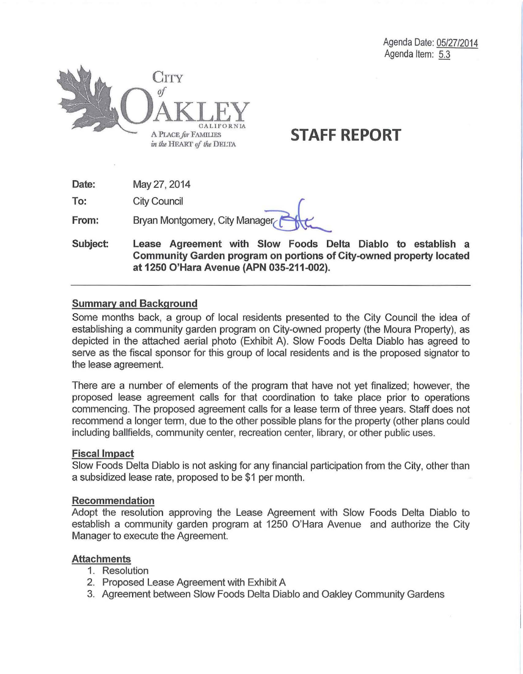

**Date:**  May27, 2014

**To:**  City Council

**From:**  May 27, 2014<br>City Council<br>Bryan Montgomery, City Manager

**Subject: Lease Agreement with Slow Foods Delta Diablo to establish a Community Garden program on portions of City-owned property located at 1250 O'Hara Avenue (APN 035-211-002).** 

### **Summary and Background**

Some months back, a group of local residents presented to the City Council the idea of establishing a community garden program on City-owned property (the Moura Property), as depicted in the attached aerial photo (Exhibit A). Slow Foods Delta Diablo has agreed to serve as the fiscal sponsor for this group of local residents and is the proposed signator to the lease agreement.

There are a number of elements of the program that have not yet finalized; however, the proposed lease agreement calls for that coordination to take place prior to operations commencing. The proposed agreement calls for a lease term of three years. Staff does not recommend a longer term, due to the other possible plans for the property (other plans could including ballfields, community center, recreation center, library, or other public uses.

#### **Fiscal Impact**

Slow Foods Delta Diablo is not asking for any financial participation from the City, other than a subsidized lease rate, proposed to be \$1 per month.

#### **Recommendation**

Adopt the resolution approving the Lease Agreement with Slow Foods Delta Diablo to establish a community garden program at 1250 O'Hara Avenue and authorize the City Manager to execute the Agreement.

### **Attachments**

- 1. Resolution
- 2. Proposed Lease Agreement with Exhibit A
- 3. Agreement between Slow Foods Delta Diablo and Oakley Community Gardens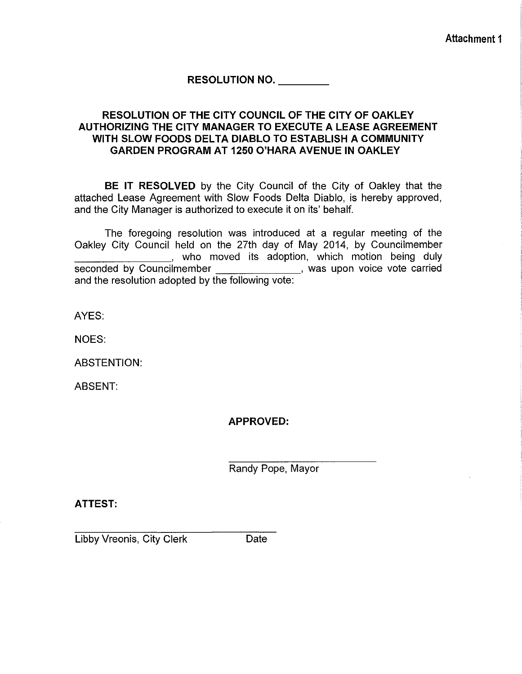**RESOLUTION NO. \_\_\_ \_** 

### **RESOLUTION OF THE CITY COUNCIL OF THE CITY OF OAKLEY AUTHORIZING THE CITY MANAGER TO EXECUTE A LEASE AGREEMENT WITH SLOW FOODS DELTA DIABLO TO ESTABLISH A COMMUNITY GARDEN PROGRAM AT 1250 O'HARA AVENUE IN OAKLEY**

**BE IT RESOLVED** by the City Council of the City of Oakley that the attached Lease Agreement with Slow Foods Delta Diablo, is hereby approved, and the City Manager is authorized to execute it on its' behalf.

The foregoing resolution was introduced at a regular meeting of the Oakley City Council held on the 27th day of May 2014, by Councilmember and the moved its adoption, which motion being duly seconded by Councilmember **, was upon voice vote carried** and the resolution adopted by the following vote:

AYES:

NOES:

ABSTENTION:

ABSENT:

**APPROVED:** 

Randy Pope, Mayor

**ATTEST:** 

Libby Vreonis, City Clerk Date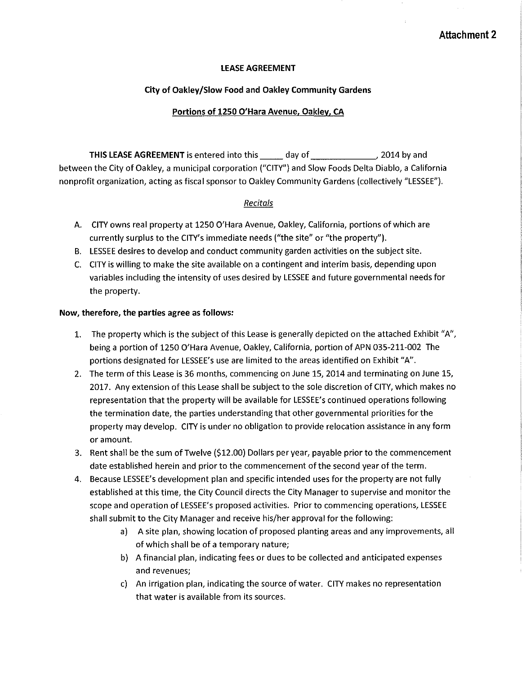#### **LEASE AGREEMENT**

#### **City of Oakley/Slow Food and Oakley Community Gardens**

#### **Portions of 1250 O'Hara Avenue, Oakley, CA**

**THIS LEASE AGREEMENT** is entered into this day of the mass of the pass of the set of the set of the set of the set of the set of the set of the set of the set of the set of the set of the set of the set of the set of the between the City of Oakley, a municipal corporation ("CITY") and Slow Foods Delta Diablo, a California nonprofit organization, acting as fiscal sponsor to Oakley Community Gardens (collectively "LESSEE").

#### *Recitals*

- A. CITY owns real property at 1250 O'Hara Avenue, Oakley, California, portions of which are currently surplus to the CITY's immediate needs ("the site" or "the property").
- B. LESSEE desires to develop and conduct community garden activities on the subject site.
- C. CITY is willing to make the site available on a contingent and interim basis, depending upon variables including the intensity of uses desired by LESSEE and future governmental needs for the property.

#### **Now, therefore, the parties agree as follows:**

- 1. The property which is the subject of this Lease is generally depicted on the attached Exhibit "A", being a portion of 1250 O'Hara Avenue, Oakley, California, portion of APN 035-211-002 The portions designated for LESSEE's use are limited to the areas identified on Exhibit "A".
- 2. The term of this Lease is 36 months, commencing on June 15, 2014 and terminating on June 15, 2017. Any extension of this Lease shall be subject to the sole discretion of CITY, which makes no representation that the property will be available for LESSEE's continued operations following the termination date, the parties understanding that other governmental priorities for the property may develop. CITY is under no obligation to provide relocation assistance in any form or amount.
- 3. Rent shall be the sum of Twelve (\$12.00) Dollars per year, payable prior to the commencement date established herein and prior to the commencement of the second year of the term.
- 4. Because LESSEE's development plan and specific intended uses for the property are not fully established at this time, the City Council directs the City Manager to supervise and monitor the scope and operation of LESSEE's proposed activities. Prior to commencing operations, LESSEE shall submit to the City Manager and receive his/her approval for the following:
	- a) A site plan, showing location of proposed planting areas and any improvements, all of which shall be of a temporary nature;
	- b) A financial plan, indicating fees or dues to be collected and anticipated expenses and revenues;
	- c) An irrigation plan, indicating the source of water. CITY makes no representation that water is available from its sources.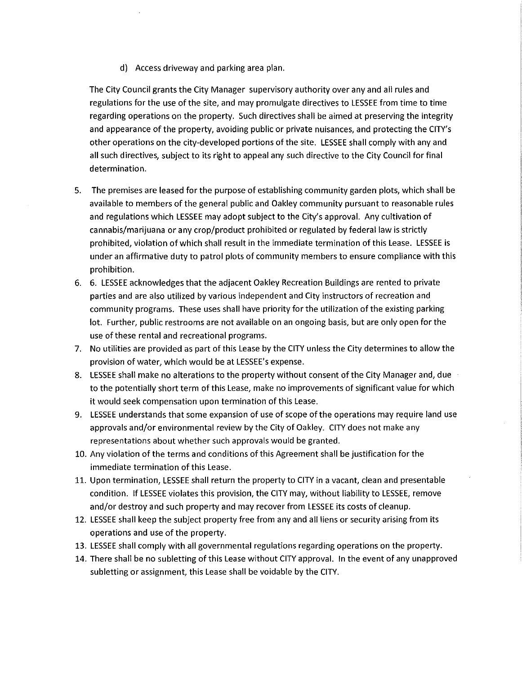d) Access driveway and parking area plan.

The City Council grants the City Manager supervisory authority over any and all rules and regulations for the use of the site, and may promulgate directives to LESSEE from time to time regarding operations on the property. Such directives shall be aimed at preserving the integrity and appearance of the property, avoiding public or private nuisances, and protecting the CITY's other operations on the city-developed portions of the site. LESSEE shall comply with any and all such directives, subject to its right to appeal any such directive to the City Council for final determination.

- 5. The premises are leased for the purpose of establishing community garden plots, which shall be available to members of the general public and Oakley community pursuant to reasonable rules and regulations which LESSEE may adopt subject to the City's approval. Any cultivation of cannabis/marijuana or any crop/product prohibited or regulated by federal law is strictly prohibited, violation of which shall result in the immediate termination of this Lease. LESSEE is under an affirmative duty to patrol plots of community members to ensure compliance with this prohibition.
- 6. 6. LESSEE acknowledges that the adjacent Oakley Recreation Buildings are rented to private parties and are also utilized by various independent and City instructors of recreation and community programs. These uses shall have priority for the utilization of the existing parking lot. Further, public restrooms are not available on an ongoing basis, but are only open for the use of these rental and recreational programs.
- 7. No utilities are provided as part of this Lease by the CITY unless the City determines to allow the provision of water, which would be at LESSEE's expense.
- 8. LESSEE shall make no alterations to the property without consent of the City Manager and, due to the potentially short term of this Lease, make no improvements of significant value for which it would seek compensation upon termination of this Lease.
- 9. LESSEE understands that some expansion of use of scope of the operations may require land use approvals and/or environmental review by the City of Oakley. CITY does not make any representations about whether such approvals would be granted.
- 10. Any violation of the terms and conditions of this Agreement shall be justification for the immediate termination of this Lease.
- 11. Upon termination, LESSEE shall return the property to CITY in a vacant, clean and presentable condition. If LESSEE violates this provision, the CITY may, without liability to LESSEE, remove and/or destroy and such property and may recover from LESSEE its costs of cleanup.
- 12. LESSEE shall keep the subject property free from any and all liens or security arising from its operations and use of the property.
- 13. LESSEE shall comply with all governmental regulations regarding operations on the property.
- 14. There shall be no subletting of this Lease without CITY approval. In the event of any unapproved subletting or assignment, this Lease shall be voidable by the CITY.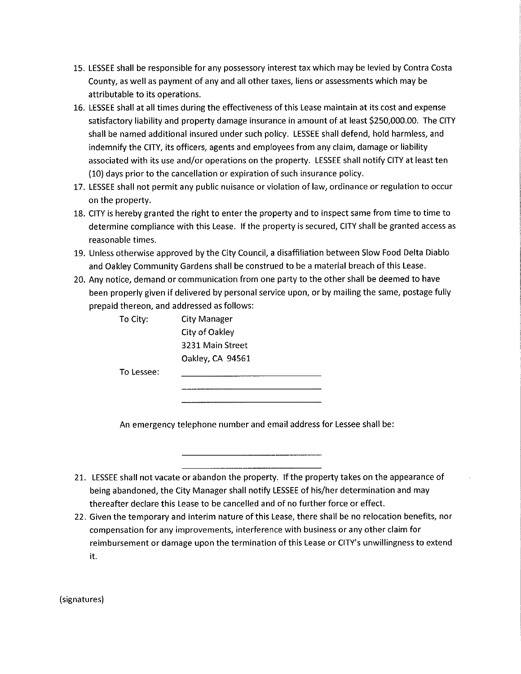- 15. LESSEE shall be responsible for any possessory interest tax which may be levied by Contra Costa County, as well as payment of any and all other taxes, liens or assessments which may be attributable to its operations.
- 16. LESSEE shall at all times during the effectiveness of this Lease maintain at its cost and expense satisfactory liability and property damage insurance in amount of at least \$250,000.00. The CITY shall be named additional insured under such policy. LESSEE shall defend, hold harmless, and indemnify the CITY, its officers, agents and employees from any claim, damage or liability associated with its use and/or operations on the property. LESSEE shall notify CITY at least ten (10) days prior to the cancellation or expiration of such insurance policy.
- 17. LESSEE shall not permit any public nuisance or violation of law, ordinance or regulation to occur on the property.
- 18. CITY is hereby granted the right to enter the property and to inspect same from time to time to determine compliance with this Lease. If the property is secured, CITY shall be granted access as reasonable times.
- 19. Unless otherwise approved by the City Council, a disaffiliation between Slow Food Delta Diablo and Oakley Community Gardens shall be construed to be a material breach of this Lease.
- 20. Any notice, demand or communication from one party to the other shall be deemed to have been properly given if delivered by personal service upon, or by mailing the same, postage fully prepaid thereon, and addressed as follows:

| To City:   | City Manager     |
|------------|------------------|
|            | City of Oakley   |
|            | 3231 Main Street |
|            | Oakley, CA 94561 |
| To Lessee: |                  |
|            |                  |
|            |                  |

An emergency telephone number and email address for Lessee shall be:

- 21. LESSEE shall not vacate or abandon the property. If the property takes on the appearance of being abandoned, the City Manager shall notify LESSEE of his/her determination and may thereafter declare this Lease to be cancelled and of no further force or effect.
- 22. Given the temporary and interim nature of this Lease, there shall be no relocation benefits, nor compensation for any improvements, interference with business or any other claim for reimbursement or damage upon the termination of this Lease or CITY's unwillingness to extend it.

(signatures)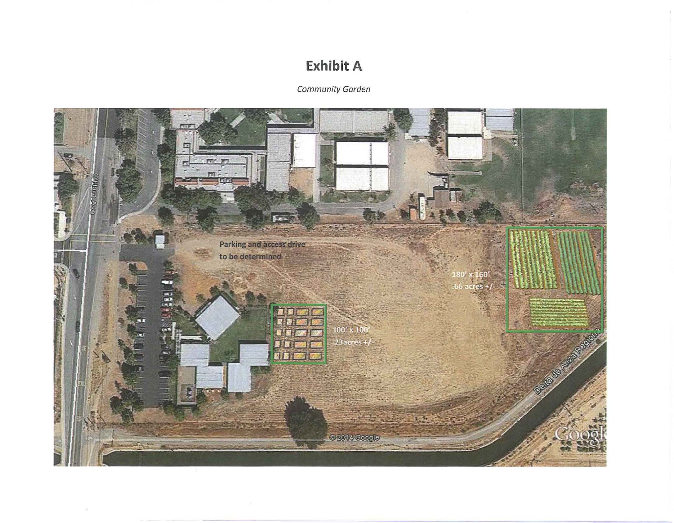# **Exhibit A**<br>Community Garden **Exhibit A**<br><sub>ommunity Gard</sub>

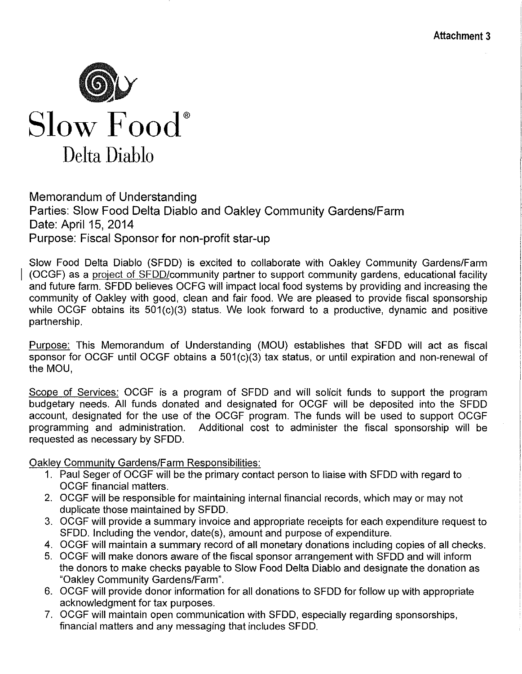

# Memorandum of Understanding Parties: Slow Food Delta Diablo and Oakley Community Gardens/Farm Date: April 15, 2014 Purpose: Fiscal Sponsor for non-profit star-up

Slow Food Delta Diablo (SFDD) is excited to collaborate with Oakley Community Gardens/Farm (OCGF) as a project of SFDD/community partner to support community gardens, educational facility and future farm. SFDD believes OCFG will impact local food systems by providing and increasing the community of Oakley with good, clean and fair food. We are pleased to provide fiscal sponsorship while OCGF obtains its 501(c)(3) status. We look forward to a productive, dynamic and positive partnership.

Purpose: This Memorandum of Understanding (MOU) establishes that SFDD will act as fiscal sponsor for OCGF until OCGF obtains a 501(c)(3) tax status, or until expiration and non-renewal of the MOU,

Scope of Services: OCGF is a program of SFDD and will solicit funds to support the program budgetary needs. All funds donated and designated for OCGF will be deposited into the SFDD account, designated for the use of the OCGF program. The funds will be used to support OCGF programming and administration. Additional cost to administer the fiscal sponsorship will be requested as necessary by SFDD.

**Oakley Community Gardens/Farm Responsibilities:** 

- 1. Paul Seger of OCGF will be the primary contact person to liaise with SFDD with regard to b OCGF financial matters.
- 2. OCGF will be responsible for maintaining internal financial records, which may or may not duplicate those maintained by SFDD.
- 3. OCGF will provide a summary invoice and appropriate receipts for each expenditure request to SFDD. Including the vendor, date(s), amount and purpose of expenditure.
- 4. OCGF will maintain a summary record of all monetary donations including copies of all checks.
- 5. OCGF will make donors aware of the fiscal sponsor arrangement with SFDD and will inform the donors to make checks payable to Slow Food Delta Diablo and designate the donation as "Oakley Community Gardens/Farm".
- 6. OCGF will provide donor information for all donations to SFDD for follow up with appropriate acknowledgment for tax purposes.
- 7. OCGF will maintain open communication with SFDD, especially regarding sponsorships, financial matters and any messaging that includes SFDD.